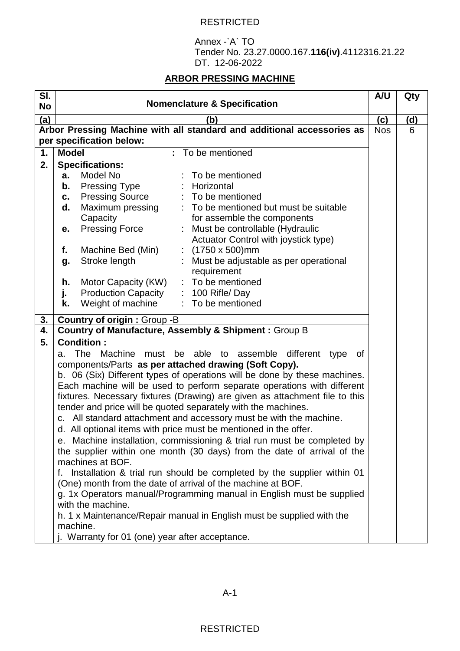## RESTRICTED

Annex -`A` TO Tender No. 23.27.0000.167.**116(iv)**.4112316.21.22 DT. 12-06-2022

## **ARBOR PRESSING MACHINE**

| SI.<br><b>No</b>         | <b>Nomenclature &amp; Specification</b>                                         | A/U        | Qty |  |
|--------------------------|---------------------------------------------------------------------------------|------------|-----|--|
| (a)                      | (b)                                                                             | (c)        | (d) |  |
|                          | Arbor Pressing Machine with all standard and additional accessories as          | <b>Nos</b> | 6   |  |
| per specification below: |                                                                                 |            |     |  |
| 1.                       | <b>Model</b><br>To be mentioned                                                 |            |     |  |
| 2.                       | <b>Specifications:</b>                                                          |            |     |  |
|                          | Model No<br>To be mentioned<br>a.                                               |            |     |  |
|                          | <b>Pressing Type</b><br>Horizontal<br>b.                                        |            |     |  |
|                          | <b>Pressing Source</b><br>: To be mentioned<br>c.                               |            |     |  |
|                          | Maximum pressing<br>: To be mentioned but must be suitable<br>d.                |            |     |  |
|                          | Capacity<br>for assemble the components                                         |            |     |  |
|                          | <b>Pressing Force</b><br>Must be controllable (Hydraulic<br>е.                  |            |     |  |
|                          | Actuator Control with joystick type)                                            |            |     |  |
|                          | : $(1750 \times 500)$ mm<br>f.<br>Machine Bed (Min)                             |            |     |  |
|                          | Stroke length<br>Must be adjustable as per operational<br>g.                    |            |     |  |
|                          | requirement                                                                     |            |     |  |
|                          | Motor Capacity (KW)<br>: To be mentioned<br>h.                                  |            |     |  |
|                          | <b>Production Capacity</b><br>$: 100$ Rifle/Day<br>j.                           |            |     |  |
|                          | Weight of machine<br>: To be mentioned<br>k.                                    |            |     |  |
| 3.                       | <b>Country of origin: Group -B</b>                                              |            |     |  |
| 4.                       | Country of Manufacture, Assembly & Shipment : Group B                           |            |     |  |
| 5.                       | <b>Condition:</b>                                                               |            |     |  |
|                          | <b>The</b><br>Machine<br>must be able<br>to assemble different type<br>of<br>а. |            |     |  |
|                          | components/Parts as per attached drawing (Soft Copy).                           |            |     |  |
|                          | b. 06 (Six) Different types of operations will be done by these machines.       |            |     |  |
|                          | Each machine will be used to perform separate operations with different         |            |     |  |
|                          | fixtures. Necessary fixtures (Drawing) are given as attachment file to this     |            |     |  |
|                          | tender and price will be quoted separately with the machines.                   |            |     |  |
|                          | c. All standard attachment and accessory must be with the machine.              |            |     |  |
|                          | d. All optional items with price must be mentioned in the offer.                |            |     |  |
|                          | e. Machine installation, commissioning & trial run must be completed by         |            |     |  |
|                          | the supplier within one month (30 days) from the date of arrival of the         |            |     |  |
|                          | machines at BOF.                                                                |            |     |  |
|                          | f. Installation & trial run should be completed by the supplier within 01       |            |     |  |
|                          | (One) month from the date of arrival of the machine at BOF.                     |            |     |  |
|                          | g. 1x Operators manual/Programming manual in English must be supplied           |            |     |  |
|                          | with the machine.                                                               |            |     |  |
|                          | h. 1 x Maintenance/Repair manual in English must be supplied with the           |            |     |  |
|                          | machine.                                                                        |            |     |  |
|                          | j. Warranty for 01 (one) year after acceptance.                                 |            |     |  |